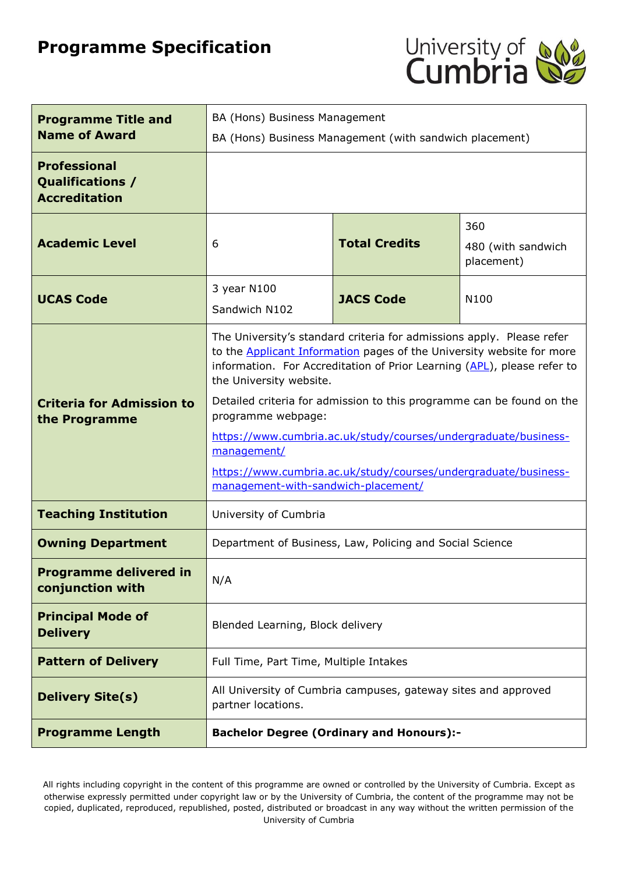# **Programme Specification**



| <b>Programme Title and</b><br><b>Name of Award</b>              | BA (Hons) Business Management<br>BA (Hons) Business Management (with sandwich placement)                                                                                                                                                                                                                                                                                                                                                                                                                                                               |                  |      |
|-----------------------------------------------------------------|--------------------------------------------------------------------------------------------------------------------------------------------------------------------------------------------------------------------------------------------------------------------------------------------------------------------------------------------------------------------------------------------------------------------------------------------------------------------------------------------------------------------------------------------------------|------------------|------|
| <b>Professional</b><br>Qualifications /<br><b>Accreditation</b> |                                                                                                                                                                                                                                                                                                                                                                                                                                                                                                                                                        |                  |      |
| <b>Academic Level</b>                                           | 360<br><b>Total Credits</b><br>6<br>480 (with sandwich<br>placement)                                                                                                                                                                                                                                                                                                                                                                                                                                                                                   |                  |      |
| <b>UCAS Code</b>                                                | 3 year N100<br>Sandwich N102                                                                                                                                                                                                                                                                                                                                                                                                                                                                                                                           | <b>JACS Code</b> | N100 |
| <b>Criteria for Admission to</b><br>the Programme               | The University's standard criteria for admissions apply. Please refer<br>to the <b>Applicant Information</b> pages of the University website for more<br>information. For Accreditation of Prior Learning (APL), please refer to<br>the University website.<br>Detailed criteria for admission to this programme can be found on the<br>programme webpage:<br>https://www.cumbria.ac.uk/study/courses/undergraduate/business-<br>management/<br>https://www.cumbria.ac.uk/study/courses/undergraduate/business-<br>management-with-sandwich-placement/ |                  |      |
| <b>Teaching Institution</b>                                     | University of Cumbria                                                                                                                                                                                                                                                                                                                                                                                                                                                                                                                                  |                  |      |
| <b>Owning Department</b>                                        | Department of Business, Law, Policing and Social Science                                                                                                                                                                                                                                                                                                                                                                                                                                                                                               |                  |      |
| <b>Programme delivered in</b><br>conjunction with               | N/A                                                                                                                                                                                                                                                                                                                                                                                                                                                                                                                                                    |                  |      |
| <b>Principal Mode of</b><br><b>Delivery</b>                     | Blended Learning, Block delivery                                                                                                                                                                                                                                                                                                                                                                                                                                                                                                                       |                  |      |
| <b>Pattern of Delivery</b>                                      | Full Time, Part Time, Multiple Intakes                                                                                                                                                                                                                                                                                                                                                                                                                                                                                                                 |                  |      |
| <b>Delivery Site(s)</b>                                         | All University of Cumbria campuses, gateway sites and approved<br>partner locations.                                                                                                                                                                                                                                                                                                                                                                                                                                                                   |                  |      |
| <b>Programme Length</b>                                         | <b>Bachelor Degree (Ordinary and Honours):-</b>                                                                                                                                                                                                                                                                                                                                                                                                                                                                                                        |                  |      |

All rights including copyright in the content of this programme are owned or controlled by the University of Cumbria. Except as otherwise expressly permitted under copyright law or by the University of Cumbria, the content of the programme may not be copied, duplicated, reproduced, republished, posted, distributed or broadcast in any way without the written permission of the University of Cumbria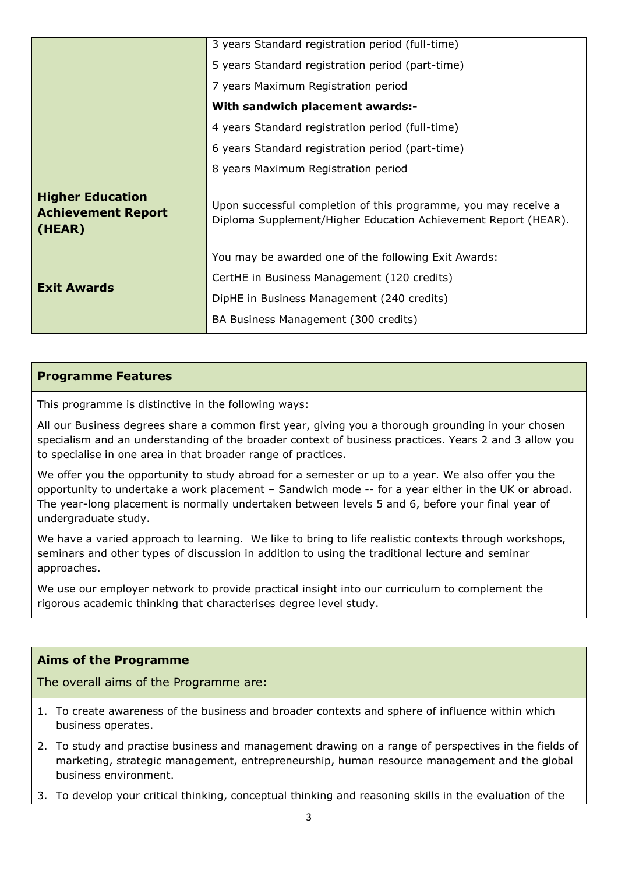|                                                                | 3 years Standard registration period (full-time)                                                                                  |  |  |
|----------------------------------------------------------------|-----------------------------------------------------------------------------------------------------------------------------------|--|--|
|                                                                | 5 years Standard registration period (part-time)                                                                                  |  |  |
|                                                                | 7 years Maximum Registration period                                                                                               |  |  |
|                                                                | With sandwich placement awards:-                                                                                                  |  |  |
|                                                                | 4 years Standard registration period (full-time)                                                                                  |  |  |
|                                                                | 6 years Standard registration period (part-time)                                                                                  |  |  |
|                                                                | 8 years Maximum Registration period                                                                                               |  |  |
| <b>Higher Education</b><br><b>Achievement Report</b><br>(HEAR) | Upon successful completion of this programme, you may receive a<br>Diploma Supplement/Higher Education Achievement Report (HEAR). |  |  |
|                                                                | You may be awarded one of the following Exit Awards:                                                                              |  |  |
|                                                                | CertHE in Business Management (120 credits)                                                                                       |  |  |
| <b>Exit Awards</b>                                             | DipHE in Business Management (240 credits)                                                                                        |  |  |
|                                                                | BA Business Management (300 credits)                                                                                              |  |  |

#### **Programme Features**

This programme is distinctive in the following ways:

All our Business degrees share a common first year, giving you a thorough grounding in your chosen specialism and an understanding of the broader context of business practices. Years 2 and 3 allow you to specialise in one area in that broader range of practices.

We offer you the opportunity to study abroad for a semester or up to a year. We also offer you the opportunity to undertake a work placement – Sandwich mode -- for a year either in the UK or abroad. The year-long placement is normally undertaken between levels 5 and 6, before your final year of undergraduate study.

We have a varied approach to learning. We like to bring to life realistic contexts through workshops, seminars and other types of discussion in addition to using the traditional lecture and seminar approaches.

We use our employer network to provide practical insight into our curriculum to complement the rigorous academic thinking that characterises degree level study.

#### **Aims of the Programme**

The overall aims of the Programme are:

- 1. To create awareness of the business and broader contexts and sphere of influence within which business operates.
- 2. To study and practise business and management drawing on a range of perspectives in the fields of marketing, strategic management, entrepreneurship, human resource management and the global business environment.
- 3. To develop your critical thinking, conceptual thinking and reasoning skills in the evaluation of the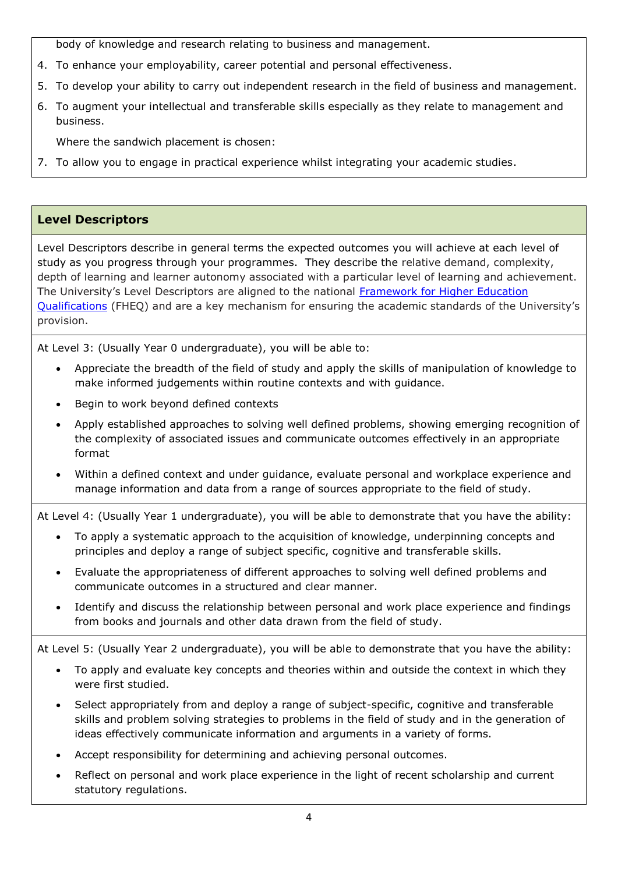body of knowledge and research relating to business and management.

- 4. To enhance your employability, career potential and personal effectiveness.
- 5. To develop your ability to carry out independent research in the field of business and management.
- 6. To augment your intellectual and transferable skills especially as they relate to management and business.

Where the sandwich placement is chosen:

7. To allow you to engage in practical experience whilst integrating your academic studies.

# **Level Descriptors**

Level Descriptors describe in general terms the expected outcomes you will achieve at each level of study as you progress through your programmes. They describe the relative demand, complexity, depth of learning and learner autonomy associated with a particular level of learning and achievement. The University's Level Descriptors are aligned to the national [Framework for Higher Education](http://www.qaa.ac.uk/en/Publications/Documents/The-framework-for-higher-education-qualifications-in-England-Wales-and-Northern-Ireland.pdf)  [Qualifications](http://www.qaa.ac.uk/en/Publications/Documents/The-framework-for-higher-education-qualifications-in-England-Wales-and-Northern-Ireland.pdf) (FHEQ) and are a key mechanism for ensuring the academic standards of the University's provision.

At Level 3: (Usually Year 0 undergraduate), you will be able to:

- Appreciate the breadth of the field of study and apply the skills of manipulation of knowledge to make informed judgements within routine contexts and with guidance.
- Begin to work beyond defined contexts
- Apply established approaches to solving well defined problems, showing emerging recognition of the complexity of associated issues and communicate outcomes effectively in an appropriate format
- Within a defined context and under guidance, evaluate personal and workplace experience and manage information and data from a range of sources appropriate to the field of study.

At Level 4: (Usually Year 1 undergraduate), you will be able to demonstrate that you have the ability:

- To apply a systematic approach to the acquisition of knowledge, underpinning concepts and principles and deploy a range of subject specific, cognitive and transferable skills.
- Evaluate the appropriateness of different approaches to solving well defined problems and communicate outcomes in a structured and clear manner.
- Identify and discuss the relationship between personal and work place experience and findings from books and journals and other data drawn from the field of study.

At Level 5: (Usually Year 2 undergraduate), you will be able to demonstrate that you have the ability:

- To apply and evaluate key concepts and theories within and outside the context in which they were first studied.
- Select appropriately from and deploy a range of subject-specific, cognitive and transferable skills and problem solving strategies to problems in the field of study and in the generation of ideas effectively communicate information and arguments in a variety of forms.
- Accept responsibility for determining and achieving personal outcomes.
- Reflect on personal and work place experience in the light of recent scholarship and current statutory regulations.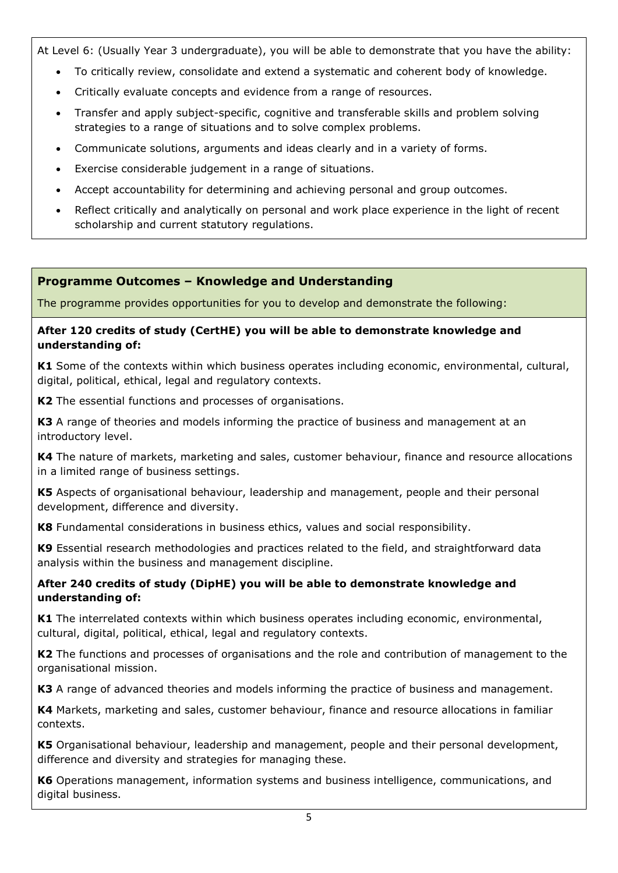At Level 6: (Usually Year 3 undergraduate), you will be able to demonstrate that you have the ability:

- To critically review, consolidate and extend a systematic and coherent body of knowledge.
- Critically evaluate concepts and evidence from a range of resources.
- Transfer and apply subject-specific, cognitive and transferable skills and problem solving strategies to a range of situations and to solve complex problems.
- Communicate solutions, arguments and ideas clearly and in a variety of forms.
- Exercise considerable judgement in a range of situations.
- Accept accountability for determining and achieving personal and group outcomes.
- Reflect critically and analytically on personal and work place experience in the light of recent scholarship and current statutory regulations.

# **Programme Outcomes – Knowledge and Understanding**

The programme provides opportunities for you to develop and demonstrate the following:

#### **After 120 credits of study (CertHE) you will be able to demonstrate knowledge and understanding of:**

**K1** Some of the contexts within which business operates including economic, environmental, cultural, digital, political, ethical, legal and regulatory contexts.

**K2** The essential functions and processes of organisations.

**K3** A range of theories and models informing the practice of business and management at an introductory level.

**K4** The nature of markets, marketing and sales, customer behaviour, finance and resource allocations in a limited range of business settings.

**K5** Aspects of organisational behaviour, leadership and management, people and their personal development, difference and diversity.

**K8** Fundamental considerations in business ethics, values and social responsibility.

**K9** Essential research methodologies and practices related to the field, and straightforward data analysis within the business and management discipline.

#### **After 240 credits of study (DipHE) you will be able to demonstrate knowledge and understanding of:**

**K1** The interrelated contexts within which business operates including economic, environmental, cultural, digital, political, ethical, legal and regulatory contexts.

**K2** The functions and processes of organisations and the role and contribution of management to the organisational mission.

**K3** A range of advanced theories and models informing the practice of business and management.

**K4** Markets, marketing and sales, customer behaviour, finance and resource allocations in familiar contexts.

**K5** Organisational behaviour, leadership and management, people and their personal development, difference and diversity and strategies for managing these.

**K6** Operations management, information systems and business intelligence, communications, and digital business.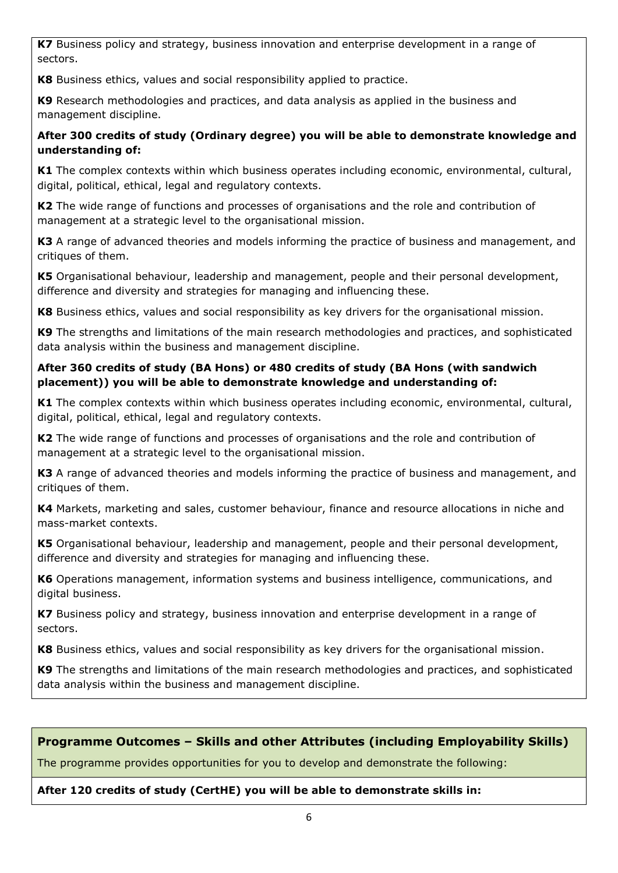**K7** Business policy and strategy, business innovation and enterprise development in a range of sectors.

**K8** Business ethics, values and social responsibility applied to practice.

**K9** Research methodologies and practices, and data analysis as applied in the business and management discipline.

# **After 300 credits of study (Ordinary degree) you will be able to demonstrate knowledge and understanding of:**

**K1** The complex contexts within which business operates including economic, environmental, cultural, digital, political, ethical, legal and regulatory contexts.

**K2** The wide range of functions and processes of organisations and the role and contribution of management at a strategic level to the organisational mission.

**K3** A range of advanced theories and models informing the practice of business and management, and critiques of them.

**K5** Organisational behaviour, leadership and management, people and their personal development, difference and diversity and strategies for managing and influencing these.

**K8** Business ethics, values and social responsibility as key drivers for the organisational mission.

**K9** The strengths and limitations of the main research methodologies and practices, and sophisticated data analysis within the business and management discipline.

#### **After 360 credits of study (BA Hons) or 480 credits of study (BA Hons (with sandwich placement)) you will be able to demonstrate knowledge and understanding of:**

**K1** The complex contexts within which business operates including economic, environmental, cultural, digital, political, ethical, legal and regulatory contexts.

**K2** The wide range of functions and processes of organisations and the role and contribution of management at a strategic level to the organisational mission.

**K3** A range of advanced theories and models informing the practice of business and management, and critiques of them.

**K4** Markets, marketing and sales, customer behaviour, finance and resource allocations in niche and mass-market contexts.

**K5** Organisational behaviour, leadership and management, people and their personal development, difference and diversity and strategies for managing and influencing these.

**K6** Operations management, information systems and business intelligence, communications, and digital business.

**K7** Business policy and strategy, business innovation and enterprise development in a range of sectors.

**K8** Business ethics, values and social responsibility as key drivers for the organisational mission.

**K9** The strengths and limitations of the main research methodologies and practices, and sophisticated data analysis within the business and management discipline.

# **Programme Outcomes – Skills and other Attributes (including Employability Skills)**

The programme provides opportunities for you to develop and demonstrate the following:

#### **After 120 credits of study (CertHE) you will be able to demonstrate skills in:**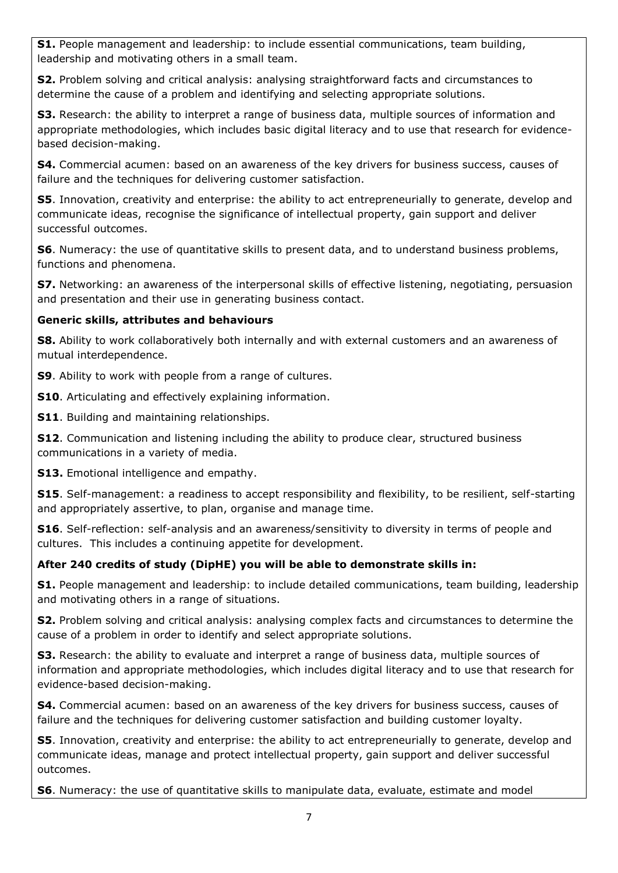**S1.** People management and leadership: to include essential communications, team building, leadership and motivating others in a small team.

**S2.** Problem solving and critical analysis: analysing straightforward facts and circumstances to determine the cause of a problem and identifying and selecting appropriate solutions.

**S3.** Research: the ability to interpret a range of business data, multiple sources of information and appropriate methodologies, which includes basic digital literacy and to use that research for evidencebased decision-making.

**S4.** Commercial acumen: based on an awareness of the key drivers for business success, causes of failure and the techniques for delivering customer satisfaction.

**S5**. Innovation, creativity and enterprise: the ability to act entrepreneurially to generate, develop and communicate ideas, recognise the significance of intellectual property, gain support and deliver successful outcomes.

**S6**. Numeracy: the use of quantitative skills to present data, and to understand business problems, functions and phenomena.

**S7.** Networking: an awareness of the interpersonal skills of effective listening, negotiating, persuasion and presentation and their use in generating business contact.

# **Generic skills, attributes and behaviours**

**S8.** Ability to work collaboratively both internally and with external customers and an awareness of mutual interdependence.

**S9**. Ability to work with people from a range of cultures.

**S10**. Articulating and effectively explaining information.

**S11**. Building and maintaining relationships.

**S12.** Communication and listening including the ability to produce clear, structured business communications in a variety of media.

**S13.** Emotional intelligence and empathy.

**S15.** Self-management: a readiness to accept responsibility and flexibility, to be resilient, self-starting and appropriately assertive, to plan, organise and manage time.

**S16**. Self-reflection: self-analysis and an awareness/sensitivity to diversity in terms of people and cultures. This includes a continuing appetite for development.

# **After 240 credits of study (DipHE) you will be able to demonstrate skills in:**

**S1.** People management and leadership: to include detailed communications, team building, leadership and motivating others in a range of situations.

**S2.** Problem solving and critical analysis: analysing complex facts and circumstances to determine the cause of a problem in order to identify and select appropriate solutions.

**S3.** Research: the ability to evaluate and interpret a range of business data, multiple sources of information and appropriate methodologies, which includes digital literacy and to use that research for evidence-based decision-making.

**S4.** Commercial acumen: based on an awareness of the key drivers for business success, causes of failure and the techniques for delivering customer satisfaction and building customer loyalty.

**S5**. Innovation, creativity and enterprise: the ability to act entrepreneurially to generate, develop and communicate ideas, manage and protect intellectual property, gain support and deliver successful outcomes.

**S6**. Numeracy: the use of quantitative skills to manipulate data, evaluate, estimate and model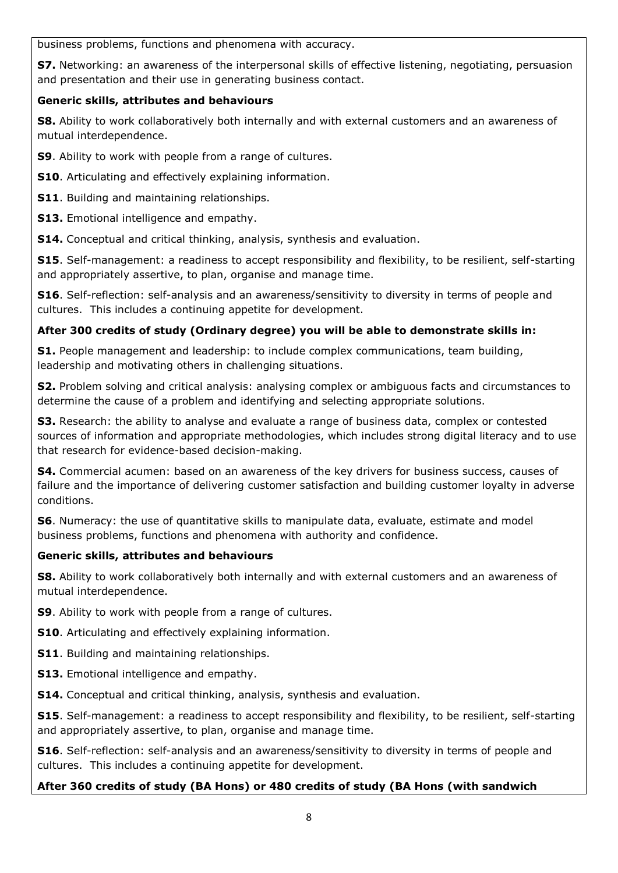business problems, functions and phenomena with accuracy.

**S7.** Networking: an awareness of the interpersonal skills of effective listening, negotiating, persuasion and presentation and their use in generating business contact.

# **Generic skills, attributes and behaviours**

**S8.** Ability to work collaboratively both internally and with external customers and an awareness of mutual interdependence.

**S9**. Ability to work with people from a range of cultures.

- **S10**. Articulating and effectively explaining information.
- **S11**. Building and maintaining relationships.

**S13.** Emotional intelligence and empathy.

**S14.** Conceptual and critical thinking, analysis, synthesis and evaluation.

**S15**. Self-management: a readiness to accept responsibility and flexibility, to be resilient, self-starting and appropriately assertive, to plan, organise and manage time.

**S16**. Self-reflection: self-analysis and an awareness/sensitivity to diversity in terms of people and cultures. This includes a continuing appetite for development.

# **After 300 credits of study (Ordinary degree) you will be able to demonstrate skills in:**

**S1.** People management and leadership: to include complex communications, team building, leadership and motivating others in challenging situations.

**S2.** Problem solving and critical analysis: analysing complex or ambiguous facts and circumstances to determine the cause of a problem and identifying and selecting appropriate solutions.

**S3.** Research: the ability to analyse and evaluate a range of business data, complex or contested sources of information and appropriate methodologies, which includes strong digital literacy and to use that research for evidence-based decision-making.

**S4.** Commercial acumen: based on an awareness of the key drivers for business success, causes of failure and the importance of delivering customer satisfaction and building customer loyalty in adverse conditions.

**S6**. Numeracy: the use of quantitative skills to manipulate data, evaluate, estimate and model business problems, functions and phenomena with authority and confidence.

# **Generic skills, attributes and behaviours**

**S8.** Ability to work collaboratively both internally and with external customers and an awareness of mutual interdependence.

**S9**. Ability to work with people from a range of cultures.

**S10**. Articulating and effectively explaining information.

**S11**. Building and maintaining relationships.

**S13.** Emotional intelligence and empathy.

**S14.** Conceptual and critical thinking, analysis, synthesis and evaluation.

**S15**. Self-management: a readiness to accept responsibility and flexibility, to be resilient, self-starting and appropriately assertive, to plan, organise and manage time.

**S16**. Self-reflection: self-analysis and an awareness/sensitivity to diversity in terms of people and cultures. This includes a continuing appetite for development.

# **After 360 credits of study (BA Hons) or 480 credits of study (BA Hons (with sandwich**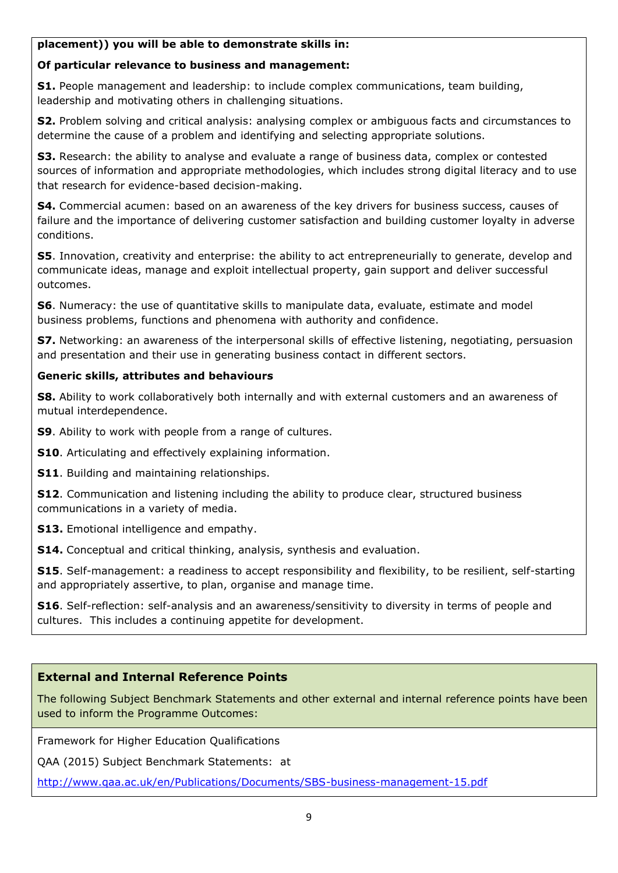#### **placement)) you will be able to demonstrate skills in:**

#### **Of particular relevance to business and management:**

**S1.** People management and leadership: to include complex communications, team building, leadership and motivating others in challenging situations.

**S2.** Problem solving and critical analysis: analysing complex or ambiguous facts and circumstances to determine the cause of a problem and identifying and selecting appropriate solutions.

**S3.** Research: the ability to analyse and evaluate a range of business data, complex or contested sources of information and appropriate methodologies, which includes strong digital literacy and to use that research for evidence-based decision-making.

**S4.** Commercial acumen: based on an awareness of the key drivers for business success, causes of failure and the importance of delivering customer satisfaction and building customer loyalty in adverse conditions.

**S5**. Innovation, creativity and enterprise: the ability to act entrepreneurially to generate, develop and communicate ideas, manage and exploit intellectual property, gain support and deliver successful outcomes.

**S6**. Numeracy: the use of quantitative skills to manipulate data, evaluate, estimate and model business problems, functions and phenomena with authority and confidence.

**S7.** Networking: an awareness of the interpersonal skills of effective listening, negotiating, persuasion and presentation and their use in generating business contact in different sectors.

#### **Generic skills, attributes and behaviours**

**S8.** Ability to work collaboratively both internally and with external customers and an awareness of mutual interdependence.

**S9**. Ability to work with people from a range of cultures.

**S10**. Articulating and effectively explaining information.

**S11**. Building and maintaining relationships.

**S12.** Communication and listening including the ability to produce clear, structured business communications in a variety of media.

**S13.** Emotional intelligence and empathy.

**S14.** Conceptual and critical thinking, analysis, synthesis and evaluation.

**S15**. Self-management: a readiness to accept responsibility and flexibility, to be resilient, self-starting and appropriately assertive, to plan, organise and manage time.

**S16**. Self-reflection: self-analysis and an awareness/sensitivity to diversity in terms of people and cultures. This includes a continuing appetite for development.

#### **External and Internal Reference Points**

The following Subject Benchmark Statements and other external and internal reference points have been used to inform the Programme Outcomes:

Framework for Higher Education Qualifications

QAA (2015) Subject Benchmark Statements: at

<http://www.qaa.ac.uk/en/Publications/Documents/SBS-business-management-15.pdf>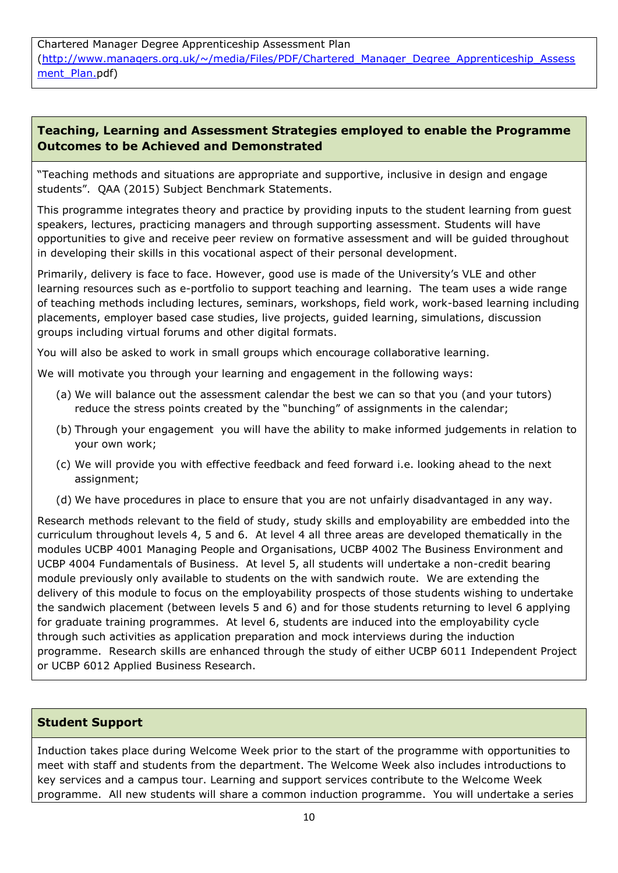Chartered Manager Degree Apprenticeship Assessment Plan [\(http://www.managers.org.uk/~/media/Files/PDF/Chartered\\_Manager\\_Degree\\_Apprenticeship\\_Assess](http://www.managers.org.uk/~/media/Files/PDF/Chartered_Manager_Degree_Apprenticeship_Assessment_Plan.pdf) [ment\\_Plan.p](http://www.managers.org.uk/~/media/Files/PDF/Chartered_Manager_Degree_Apprenticeship_Assessment_Plan.pdf)df)

# **Teaching, Learning and Assessment Strategies employed to enable the Programme Outcomes to be Achieved and Demonstrated**

"Teaching methods and situations are appropriate and supportive, inclusive in design and engage students". QAA (2015) Subject Benchmark Statements.

This programme integrates theory and practice by providing inputs to the student learning from guest speakers, lectures, practicing managers and through supporting assessment. Students will have opportunities to give and receive peer review on formative assessment and will be guided throughout in developing their skills in this vocational aspect of their personal development.

Primarily, delivery is face to face. However, good use is made of the University's VLE and other learning resources such as e-portfolio to support teaching and learning. The team uses a wide range of teaching methods including lectures, seminars, workshops, field work, work-based learning including placements, employer based case studies, live projects, guided learning, simulations, discussion groups including virtual forums and other digital formats.

You will also be asked to work in small groups which encourage collaborative learning.

We will motivate you through your learning and engagement in the following ways:

- (a) We will balance out the assessment calendar the best we can so that you (and your tutors) reduce the stress points created by the "bunching" of assignments in the calendar;
- (b) Through your engagement you will have the ability to make informed judgements in relation to your own work;
- (c) We will provide you with effective feedback and feed forward i.e. looking ahead to the next assignment;
- (d) We have procedures in place to ensure that you are not unfairly disadvantaged in any way.

Research methods relevant to the field of study, study skills and employability are embedded into the curriculum throughout levels 4, 5 and 6. At level 4 all three areas are developed thematically in the modules UCBP 4001 Managing People and Organisations, UCBP 4002 The Business Environment and UCBP 4004 Fundamentals of Business. At level 5, all students will undertake a non-credit bearing module previously only available to students on the with sandwich route. We are extending the delivery of this module to focus on the employability prospects of those students wishing to undertake the sandwich placement (between levels 5 and 6) and for those students returning to level 6 applying for graduate training programmes. At level 6, students are induced into the employability cycle through such activities as application preparation and mock interviews during the induction programme. Research skills are enhanced through the study of either UCBP 6011 Independent Project or UCBP 6012 Applied Business Research.

#### **Student Support**

Induction takes place during Welcome Week prior to the start of the programme with opportunities to meet with staff and students from the department. The Welcome Week also includes introductions to key services and a campus tour. Learning and support services contribute to the Welcome Week programme. All new students will share a common induction programme. You will undertake a series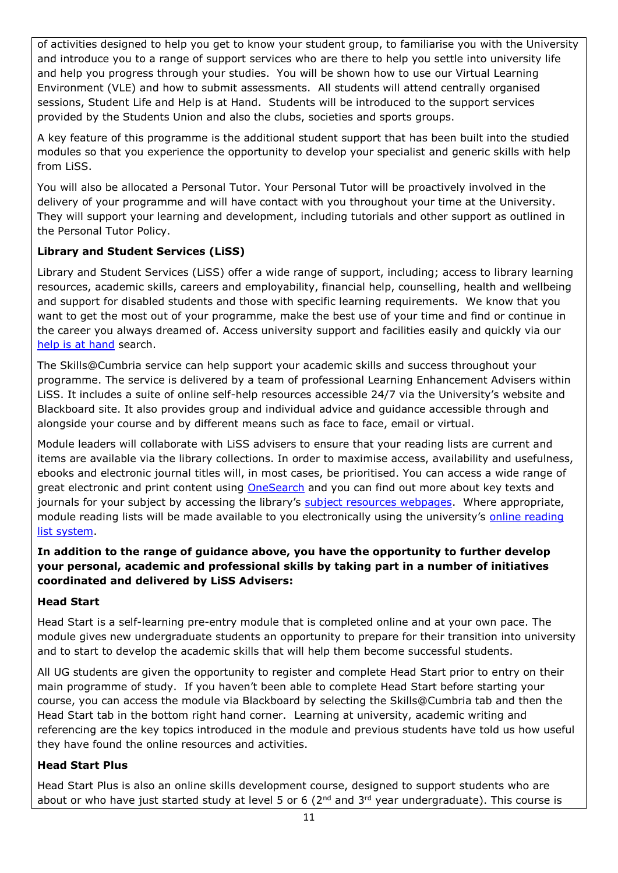of activities designed to help you get to know your student group, to familiarise you with the University and introduce you to a range of support services who are there to help you settle into university life and help you progress through your studies. You will be shown how to use our Virtual Learning Environment (VLE) and how to submit assessments. All students will attend centrally organised sessions, Student Life and Help is at Hand. Students will be introduced to the support services provided by the Students Union and also the clubs, societies and sports groups.

A key feature of this programme is the additional student support that has been built into the studied modules so that you experience the opportunity to develop your specialist and generic skills with help from LiSS.

You will also be allocated a Personal Tutor. Your Personal Tutor will be proactively involved in the delivery of your programme and will have contact with you throughout your time at the University. They will support your learning and development, including tutorials and other support as outlined in the Personal Tutor Policy.

# **Library and Student Services (LiSS)**

Library and Student Services (LiSS) offer a wide range of support, including; access to library learning resources, academic skills, careers and employability, financial help, counselling, health and wellbeing and support for disabled students and those with specific learning requirements. We know that you want to get the most out of your programme, make the best use of your time and find or continue in the career you always dreamed of. Access university support and facilities easily and quickly via our [help is at hand](http://my.cumbria.ac.uk/StudentLife/Support/Helpisathand.aspx) search.

The Skills@Cumbria service can help support your academic skills and success throughout your programme. The service is delivered by a team of professional Learning Enhancement Advisers within LiSS. It includes a suite of online self-help resources accessible 24/7 via the University's website and Blackboard site. It also provides group and individual advice and guidance accessible through and alongside your course and by different means such as face to face, email or virtual.

Module leaders will collaborate with LiSS advisers to ensure that your reading lists are current and items are available via the library collections. In order to maximise access, availability and usefulness, ebooks and electronic journal titles will, in most cases, be prioritised. You can access a wide range of great electronic and print content using [OneSearch](http://cumbria-primo.hosted.exlibrisgroup.com/primo_library/libweb/action/search.do?vid=44UOC_VU1) and you can find out more about key texts and journals for your subject by accessing the library's [subject resources webpages.](http://www.cumbria.ac.uk/StudentLife/Learning/Resources/Subjects/Home.aspx) Where appropriate, module reading lists will be made available to you electronically using the university's [online reading](https://cumbria.rebuslist.com/)  [list system.](https://cumbria.rebuslist.com/)

#### **In addition to the range of guidance above, you have the opportunity to further develop your personal, academic and professional skills by taking part in a number of initiatives coordinated and delivered by LiSS Advisers:**

#### **Head Start**

Head Start is a self-learning pre-entry module that is completed online and at your own pace. The module gives new undergraduate students an opportunity to prepare for their transition into university and to start to develop the academic skills that will help them become successful students.

All UG students are given the opportunity to register and complete Head Start prior to entry on their main programme of study. If you haven't been able to complete Head Start before starting your course, you can access the module via Blackboard by selecting the Skills@Cumbria tab and then the Head Start tab in the bottom right hand corner. Learning at university, academic writing and referencing are the key topics introduced in the module and previous students have told us how useful they have found the online resources and activities.

#### **Head Start Plus**

Head Start Plus is also an online skills development course, designed to support students who are about or who have just started study at level 5 or 6 ( $2<sup>nd</sup>$  and  $3<sup>rd</sup>$  year undergraduate). This course is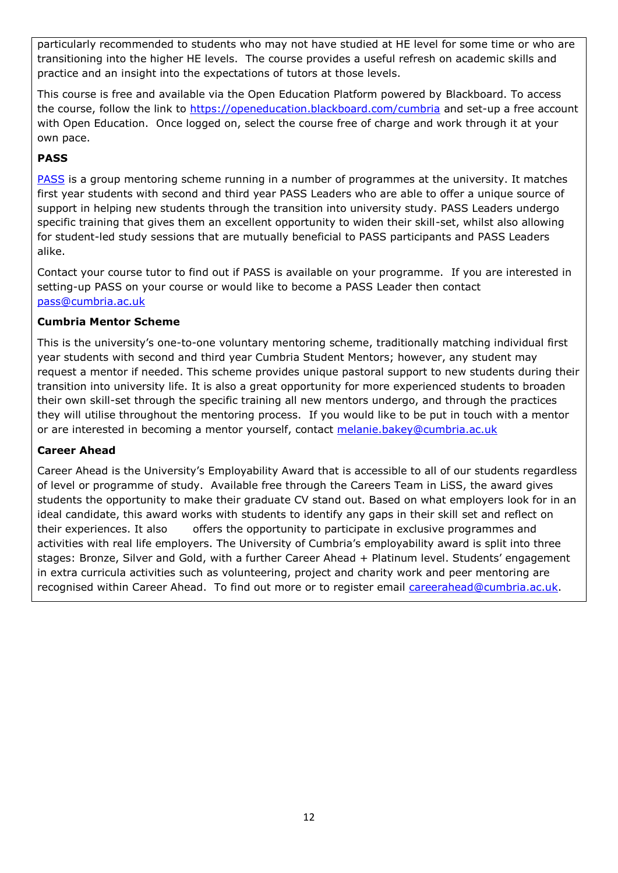particularly recommended to students who may not have studied at HE level for some time or who are transitioning into the higher HE levels. The course provides a useful refresh on academic skills and practice and an insight into the expectations of tutors at those levels.

This course is free and available via the Open Education Platform powered by Blackboard. To access the course, follow the link to<https://openeducation.blackboard.com/cumbria> and set-up a free account with Open Education. Once logged on, select the course free of charge and work through it at your own pace.

# **PASS**

[PASS](http://www.cumbria.ac.uk/StudentLife/Learning/Mentoring/Home.aspx) is a group mentoring scheme running in a number of programmes at the university. It matches first year students with second and third year PASS Leaders who are able to offer a unique source of support in helping new students through the transition into university study. PASS Leaders undergo specific training that gives them an excellent opportunity to widen their skill-set, whilst also allowing for student-led study sessions that are mutually beneficial to PASS participants and PASS Leaders alike.

Contact your course tutor to find out if PASS is available on your programme. If you are interested in setting-up PASS on your course or would like to become a PASS Leader then contact [pass@cumbria.ac.uk](mailto:pass@cumbria.ac.uk)

#### **Cumbria Mentor Scheme**

This is the university's one-to-one voluntary mentoring scheme, traditionally matching individual first year students with second and third year Cumbria Student Mentors; however, any student may request a mentor if needed. This scheme provides unique pastoral support to new students during their transition into university life. It is also a great opportunity for more experienced students to broaden their own skill-set through the specific training all new mentors undergo, and through the practices they will utilise throughout the mentoring process. If you would like to be put in touch with a mentor or are interested in becoming a mentor yourself, contact [melanie.bakey@cumbria.ac.uk](mailto:melanie.bakey@cumbria.ac.uk)

#### **Career Ahead**

Career Ahead is the University's Employability Award that is accessible to all of our students regardless of level or programme of study. Available free through the Careers Team in LiSS, the award gives students the opportunity to make their graduate CV stand out. Based on what employers look for in an ideal candidate, this award works with students to identify any gaps in their skill set and reflect on their experiences. It also offers the opportunity to participate in exclusive programmes and activities with real life employers. The University of Cumbria's employability award is split into three stages: Bronze, Silver and Gold, with a further Career Ahead + Platinum level. Students' engagement in extra curricula activities such as volunteering, project and charity work and peer mentoring are recognised within Career Ahead. To find out more or to register email [careerahead@cumbria.ac.uk.](mailto:careerahead@cumbria.ac.uk)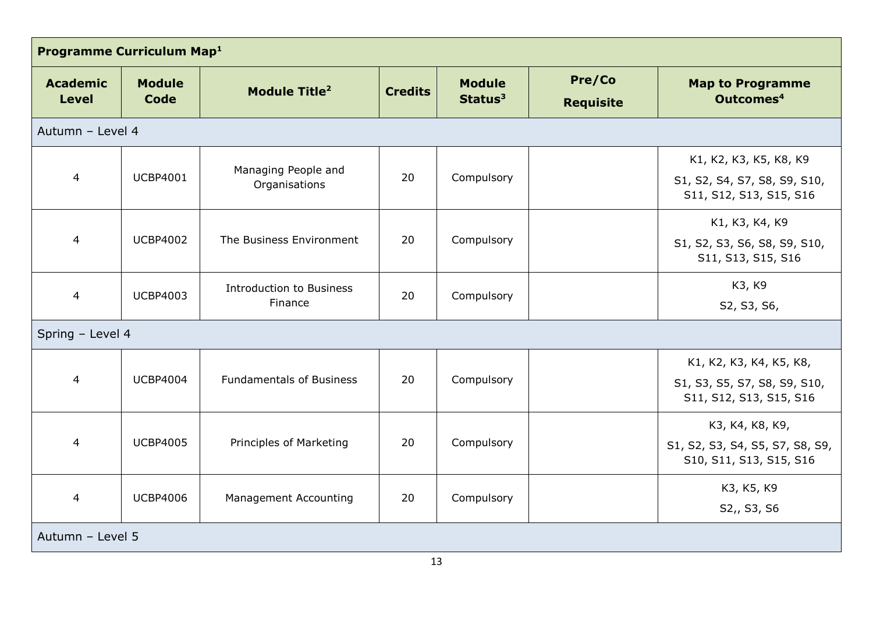| Programme Curriculum Map <sup>1</sup> |                       |                                            |                |                                      |                            |                                                                                    |
|---------------------------------------|-----------------------|--------------------------------------------|----------------|--------------------------------------|----------------------------|------------------------------------------------------------------------------------|
| <b>Academic</b><br><b>Level</b>       | <b>Module</b><br>Code | <b>Module Title<sup>2</sup></b>            | <b>Credits</b> | <b>Module</b><br>Status <sup>3</sup> | Pre/Co<br><b>Requisite</b> | <b>Map to Programme</b><br>Outcomes <sup>4</sup>                                   |
| Autumn - Level 4                      |                       |                                            |                |                                      |                            |                                                                                    |
| $\overline{4}$                        | <b>UCBP4001</b>       | Managing People and<br>Organisations       | 20             | Compulsory                           |                            | K1, K2, K3, K5, K8, K9<br>S1, S2, S4, S7, S8, S9, S10,<br>S11, S12, S13, S15, S16  |
| $\overline{4}$                        | <b>UCBP4002</b>       | The Business Environment                   | 20             | Compulsory                           |                            | K1, K3, K4, K9<br>S1, S2, S3, S6, S8, S9, S10,<br>S11, S13, S15, S16               |
| $\overline{4}$                        | <b>UCBP4003</b>       | <b>Introduction to Business</b><br>Finance | 20             | Compulsory                           |                            | K3, K9<br>S2, S3, S6,                                                              |
| Spring - Level 4                      |                       |                                            |                |                                      |                            |                                                                                    |
| $\overline{4}$                        | <b>UCBP4004</b>       | <b>Fundamentals of Business</b>            | 20             | Compulsory                           |                            | K1, K2, K3, K4, K5, K8,<br>S1, S3, S5, S7, S8, S9, S10,<br>S11, S12, S13, S15, S16 |
| $\overline{4}$                        | <b>UCBP4005</b>       | Principles of Marketing                    | 20             | Compulsory                           |                            | K3, K4, K8, K9,<br>S1, S2, S3, S4, S5, S7, S8, S9,<br>S10, S11, S13, S15, S16      |
| $\overline{4}$                        | <b>UCBP4006</b>       | <b>Management Accounting</b>               | 20             | Compulsory                           |                            | K3, K5, K9<br>S2,, S3, S6                                                          |
| Autumn - Level 5                      |                       |                                            |                |                                      |                            |                                                                                    |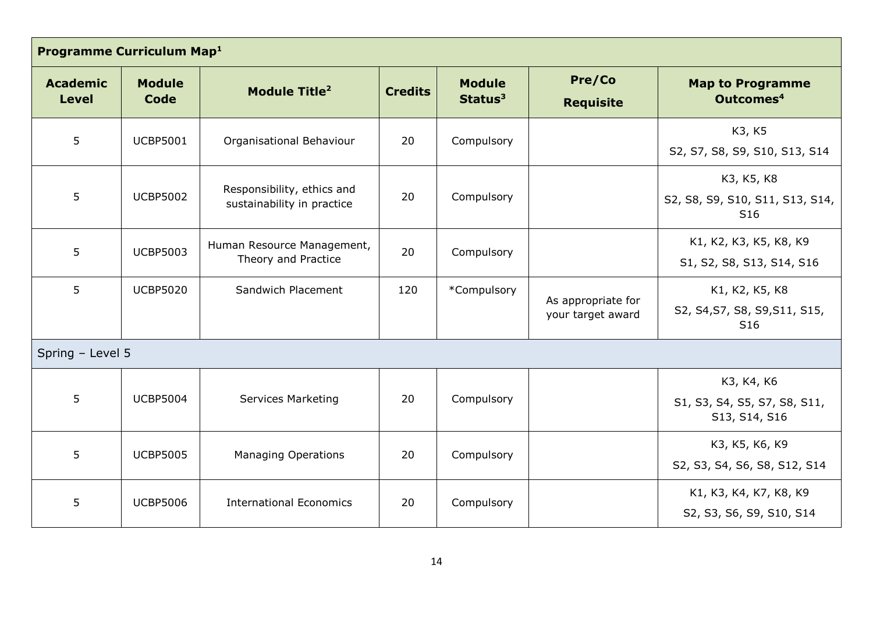| Programme Curriculum Map <sup>1</sup> |                       |                                                          |                |                                      |                                         |                                                                    |
|---------------------------------------|-----------------------|----------------------------------------------------------|----------------|--------------------------------------|-----------------------------------------|--------------------------------------------------------------------|
| <b>Academic</b><br><b>Level</b>       | <b>Module</b><br>Code | <b>Module Title<sup>2</sup></b>                          | <b>Credits</b> | <b>Module</b><br>Status <sup>3</sup> | Pre/Co<br><b>Requisite</b>              | <b>Map to Programme</b><br>Outcomes <sup>4</sup>                   |
| 5                                     | <b>UCBP5001</b>       | Organisational Behaviour                                 | 20             | Compulsory                           |                                         | K3, K5<br>S2, S7, S8, S9, S10, S13, S14                            |
| 5                                     | <b>UCBP5002</b>       | Responsibility, ethics and<br>sustainability in practice | 20             | Compulsory                           |                                         | K3, K5, K8<br>S2, S8, S9, S10, S11, S13, S14,<br>S <sub>16</sub>   |
| 5                                     | <b>UCBP5003</b>       | Human Resource Management,<br>Theory and Practice        | 20             | Compulsory                           |                                         | K1, K2, K3, K5, K8, K9<br>S1, S2, S8, S13, S14, S16                |
| 5                                     | <b>UCBP5020</b>       | Sandwich Placement                                       | 120            | *Compulsory                          | As appropriate for<br>your target award | K1, K2, K5, K8<br>S2, S4, S7, S8, S9, S11, S15,<br>S <sub>16</sub> |
| Spring - Level 5                      |                       |                                                          |                |                                      |                                         |                                                                    |
| 5                                     | <b>UCBP5004</b>       | <b>Services Marketing</b>                                | 20             | Compulsory                           |                                         | K3, K4, K6<br>S1, S3, S4, S5, S7, S8, S11,<br>S13, S14, S16        |
| 5                                     | <b>UCBP5005</b>       | <b>Managing Operations</b>                               | 20             | Compulsory                           |                                         | K3, K5, K6, K9<br>S2, S3, S4, S6, S8, S12, S14                     |
| 5                                     | <b>UCBP5006</b>       | <b>International Economics</b>                           | 20             | Compulsory                           |                                         | K1, K3, K4, K7, K8, K9<br>S2, S3, S6, S9, S10, S14                 |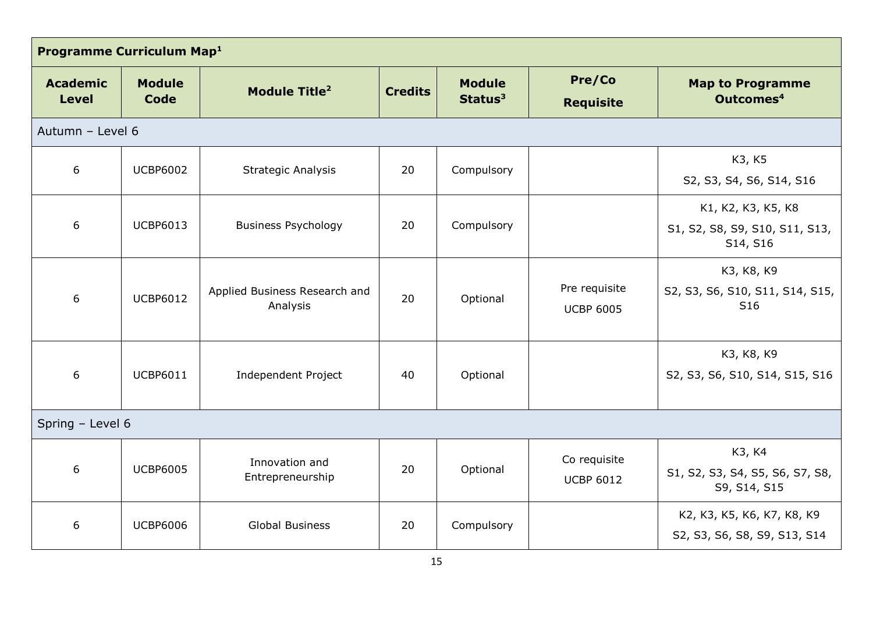| Programme Curriculum Map <sup>1</sup> |                       |                                           |                |                                      |                                   |                                                                  |
|---------------------------------------|-----------------------|-------------------------------------------|----------------|--------------------------------------|-----------------------------------|------------------------------------------------------------------|
| <b>Academic</b><br><b>Level</b>       | <b>Module</b><br>Code | Module Title <sup>2</sup>                 | <b>Credits</b> | <b>Module</b><br>Status <sup>3</sup> | Pre/Co<br><b>Requisite</b>        | <b>Map to Programme</b><br>Outcomes <sup>4</sup>                 |
| Autumn - Level 6                      |                       |                                           |                |                                      |                                   |                                                                  |
| 6                                     | <b>UCBP6002</b>       | <b>Strategic Analysis</b>                 | 20             | Compulsory                           |                                   | K3, K5<br>S2, S3, S4, S6, S14, S16                               |
| 6                                     | <b>UCBP6013</b>       | <b>Business Psychology</b>                | 20             | Compulsory                           |                                   | K1, K2, K3, K5, K8<br>S1, S2, S8, S9, S10, S11, S13,<br>S14, S16 |
| 6                                     | <b>UCBP6012</b>       | Applied Business Research and<br>Analysis | 20             | Optional                             | Pre requisite<br><b>UCBP 6005</b> | K3, K8, K9<br>S2, S3, S6, S10, S11, S14, S15,<br>S <sub>16</sub> |
| 6                                     | <b>UCBP6011</b>       | Independent Project                       | 40             | Optional                             |                                   | K3, K8, K9<br>S2, S3, S6, S10, S14, S15, S16                     |
| Spring - Level 6                      |                       |                                           |                |                                      |                                   |                                                                  |
| 6                                     | <b>UCBP6005</b>       | Innovation and<br>Entrepreneurship        | 20             | Optional                             | Co requisite<br><b>UCBP 6012</b>  | K3, K4<br>S1, S2, S3, S4, S5, S6, S7, S8,<br>S9, S14, S15        |
| 6                                     | <b>UCBP6006</b>       | <b>Global Business</b>                    | 20             | Compulsory                           |                                   | K2, K3, K5, K6, K7, K8, K9<br>S2, S3, S6, S8, S9, S13, S14       |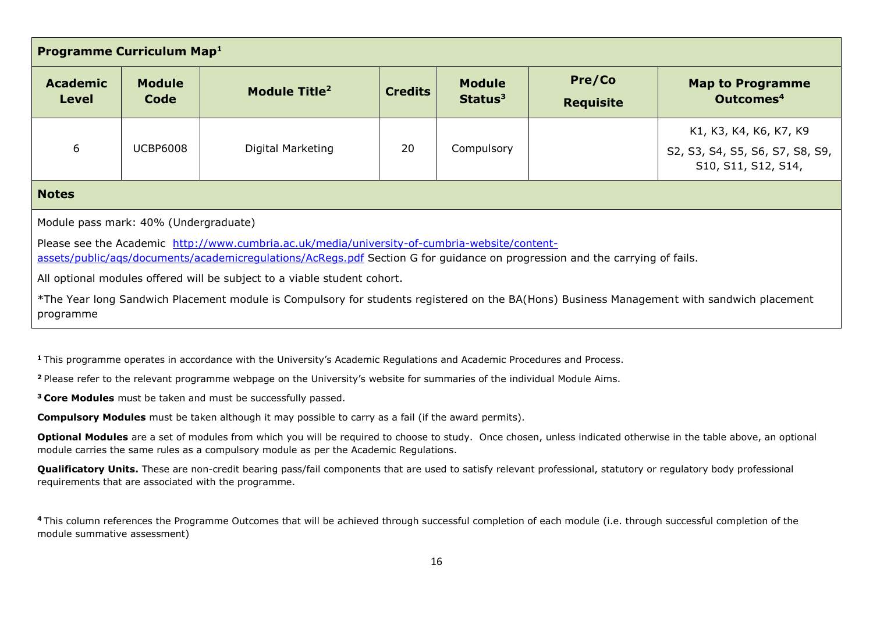| <b>Programme Curriculum Map1</b>                                                                                                                                                                                             |                       |                           |                |                                      |                            |                                                        |
|------------------------------------------------------------------------------------------------------------------------------------------------------------------------------------------------------------------------------|-----------------------|---------------------------|----------------|--------------------------------------|----------------------------|--------------------------------------------------------|
| <b>Academic</b><br>Level                                                                                                                                                                                                     | <b>Module</b><br>Code | Module Title <sup>2</sup> | <b>Credits</b> | <b>Module</b><br>Status <sup>3</sup> | Pre/Co<br><b>Requisite</b> | <b>Map to Programme</b><br>Outcomes <sup>4</sup>       |
|                                                                                                                                                                                                                              |                       |                           |                |                                      |                            | K1, K3, K4, K6, K7, K9                                 |
| 6                                                                                                                                                                                                                            | <b>UCBP6008</b>       | Digital Marketing         | 20             | Compulsory                           |                            | S2, S3, S4, S5, S6, S7, S8, S9,<br>S10, S11, S12, S14, |
| <b>Notes</b>                                                                                                                                                                                                                 |                       |                           |                |                                      |                            |                                                        |
| Module pass mark: 40% (Undergraduate)                                                                                                                                                                                        |                       |                           |                |                                      |                            |                                                        |
| Please see the Academic http://www.cumbria.ac.uk/media/university-of-cumbria-website/content-<br>assets/public/ags/documents/academicregulations/AcRegs.pdf Section G for guidance on progression and the carrying of fails. |                       |                           |                |                                      |                            |                                                        |
| All optional modules offered will be subject to a viable student cohort.                                                                                                                                                     |                       |                           |                |                                      |                            |                                                        |
| *The Year long Sandwich Placement module is Compulsory for students registered on the BA(Hons) Business Management with sandwich placement<br>programme                                                                      |                       |                           |                |                                      |                            |                                                        |

**<sup>1</sup>**This programme operates in accordance with the University's Academic Regulations and Academic Procedures and Process.

**<sup>2</sup>**Please refer to the relevant programme webpage on the University's website for summaries of the individual Module Aims.

**<sup>3</sup>Core Modules** must be taken and must be successfully passed.

**Compulsory Modules** must be taken although it may possible to carry as a fail (if the award permits).

**Optional Modules** are a set of modules from which you will be required to choose to study. Once chosen, unless indicated otherwise in the table above, an optional module carries the same rules as a compulsory module as per the Academic Regulations.

**Qualificatory Units.** These are non-credit bearing pass/fail components that are used to satisfy relevant professional, statutory or regulatory body professional requirements that are associated with the programme.

<sup>4</sup>This column references the Programme Outcomes that will be achieved through successful completion of each module (i.e. through successful completion of the module summative assessment)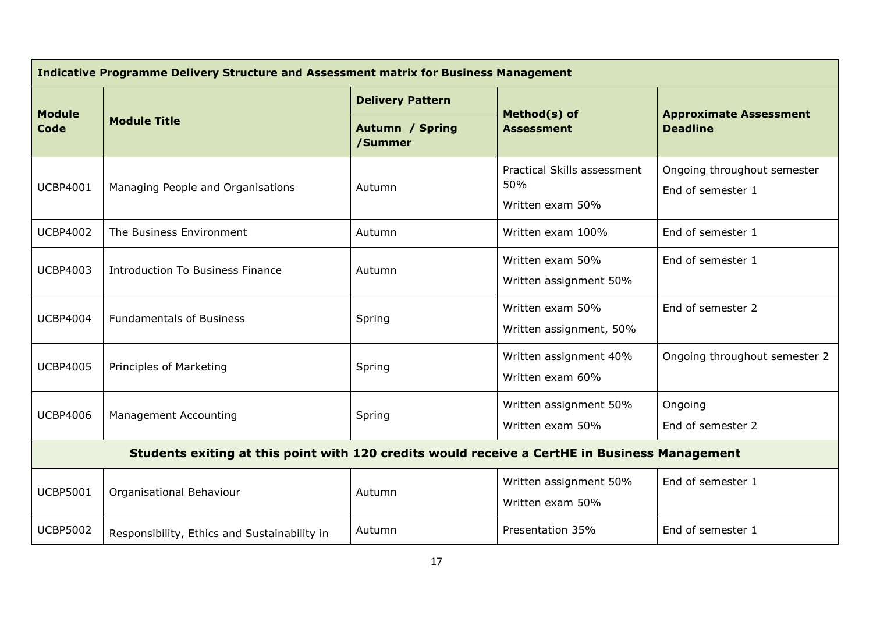| Indicative Programme Delivery Structure and Assessment matrix for Business Management         |                                              |                                   |                                                        |                                                  |  |
|-----------------------------------------------------------------------------------------------|----------------------------------------------|-----------------------------------|--------------------------------------------------------|--------------------------------------------------|--|
| <b>Module</b><br><b>Code</b>                                                                  |                                              | <b>Delivery Pattern</b>           |                                                        | <b>Approximate Assessment</b>                    |  |
|                                                                                               | <b>Module Title</b>                          | <b>Autumn / Spring</b><br>/Summer | Method(s) of<br><b>Assessment</b>                      | <b>Deadline</b>                                  |  |
| <b>UCBP4001</b>                                                                               | Managing People and Organisations            | Autumn                            | Practical Skills assessment<br>50%<br>Written exam 50% | Ongoing throughout semester<br>End of semester 1 |  |
| <b>UCBP4002</b>                                                                               | The Business Environment                     | Autumn                            | Written exam 100%                                      | End of semester 1                                |  |
| <b>UCBP4003</b>                                                                               | <b>Introduction To Business Finance</b>      | Autumn                            | Written exam 50%<br>Written assignment 50%             | End of semester 1                                |  |
| <b>UCBP4004</b>                                                                               | <b>Fundamentals of Business</b>              | Spring                            | Written exam 50%<br>Written assignment, 50%            | End of semester 2                                |  |
| <b>UCBP4005</b>                                                                               | Principles of Marketing                      | Spring                            | Written assignment 40%<br>Written exam 60%             | Ongoing throughout semester 2                    |  |
| <b>UCBP4006</b>                                                                               | <b>Management Accounting</b>                 | Spring                            | Written assignment 50%<br>Written exam 50%             | Ongoing<br>End of semester 2                     |  |
| Students exiting at this point with 120 credits would receive a CertHE in Business Management |                                              |                                   |                                                        |                                                  |  |
| <b>UCBP5001</b>                                                                               | Organisational Behaviour                     | Autumn                            | Written assignment 50%<br>Written exam 50%             | End of semester 1                                |  |
| <b>UCBP5002</b>                                                                               | Responsibility, Ethics and Sustainability in | Autumn                            | Presentation 35%                                       | End of semester 1                                |  |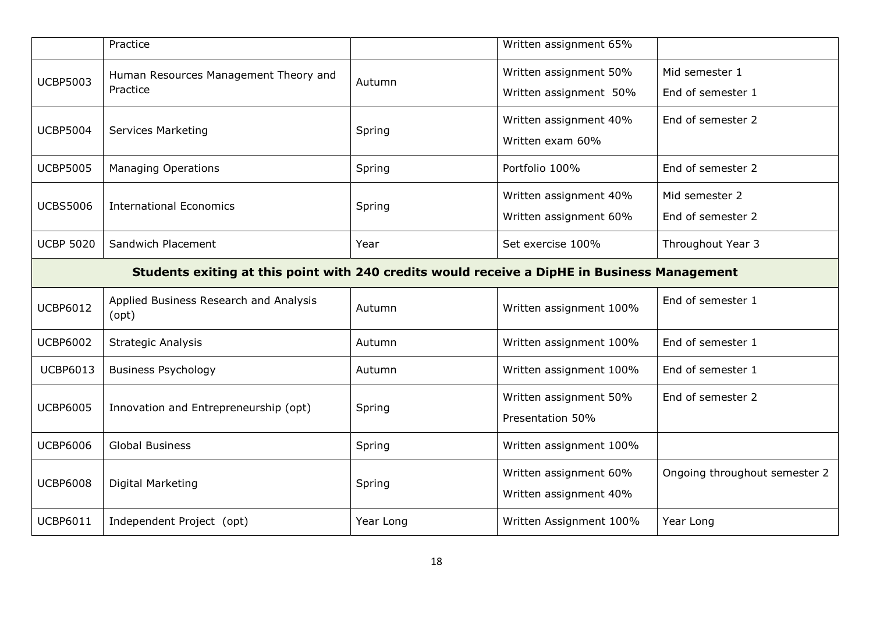|                  | Practice                                                                                     |           | Written assignment 65%                           |                                     |  |  |
|------------------|----------------------------------------------------------------------------------------------|-----------|--------------------------------------------------|-------------------------------------|--|--|
| <b>UCBP5003</b>  | Human Resources Management Theory and<br>Practice                                            | Autumn    | Written assignment 50%<br>Written assignment 50% | Mid semester 1<br>End of semester 1 |  |  |
| <b>UCBP5004</b>  | <b>Services Marketing</b>                                                                    | Spring    | Written assignment 40%<br>Written exam 60%       | End of semester 2                   |  |  |
| <b>UCBP5005</b>  | <b>Managing Operations</b>                                                                   | Spring    | Portfolio 100%                                   | End of semester 2                   |  |  |
| <b>UCBS5006</b>  | <b>International Economics</b>                                                               | Spring    | Written assignment 40%<br>Written assignment 60% | Mid semester 2<br>End of semester 2 |  |  |
| <b>UCBP 5020</b> | Sandwich Placement                                                                           | Year      | Set exercise 100%                                | Throughout Year 3                   |  |  |
|                  | Students exiting at this point with 240 credits would receive a DipHE in Business Management |           |                                                  |                                     |  |  |
| <b>UCBP6012</b>  | Applied Business Research and Analysis<br>(opt)                                              | Autumn    | Written assignment 100%                          | End of semester 1                   |  |  |
| <b>UCBP6002</b>  | <b>Strategic Analysis</b>                                                                    | Autumn    | Written assignment 100%                          | End of semester 1                   |  |  |
| <b>UCBP6013</b>  | <b>Business Psychology</b>                                                                   | Autumn    | Written assignment 100%                          | End of semester 1                   |  |  |
| <b>UCBP6005</b>  | Innovation and Entrepreneurship (opt)                                                        | Spring    | Written assignment 50%<br>Presentation 50%       | End of semester 2                   |  |  |
| <b>UCBP6006</b>  | <b>Global Business</b>                                                                       | Spring    | Written assignment 100%                          |                                     |  |  |
| <b>UCBP6008</b>  | Digital Marketing                                                                            | Spring    | Written assignment 60%<br>Written assignment 40% | Ongoing throughout semester 2       |  |  |
| <b>UCBP6011</b>  | Independent Project (opt)                                                                    | Year Long | Written Assignment 100%                          | Year Long                           |  |  |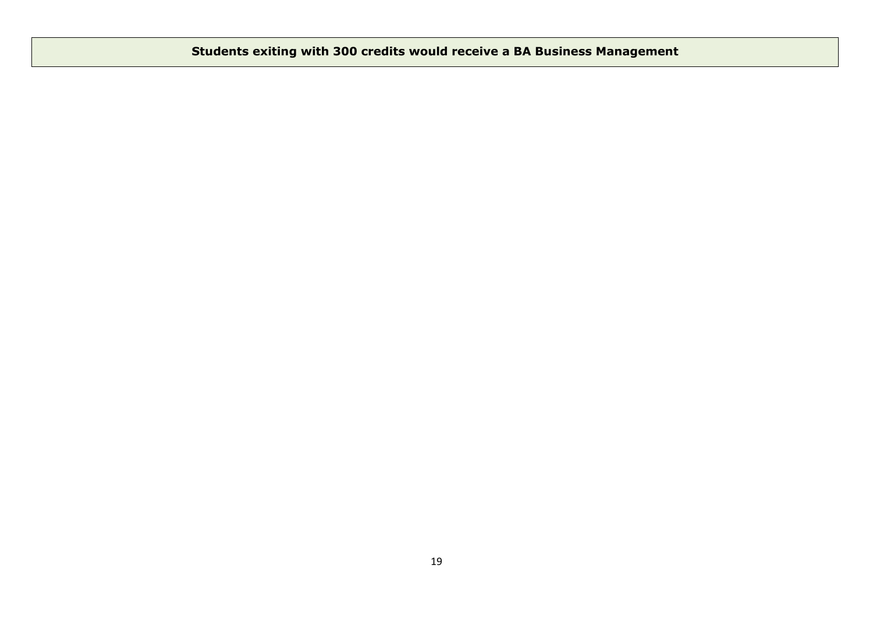# **Students exiting with 300 credits would receive a BA Business Management**